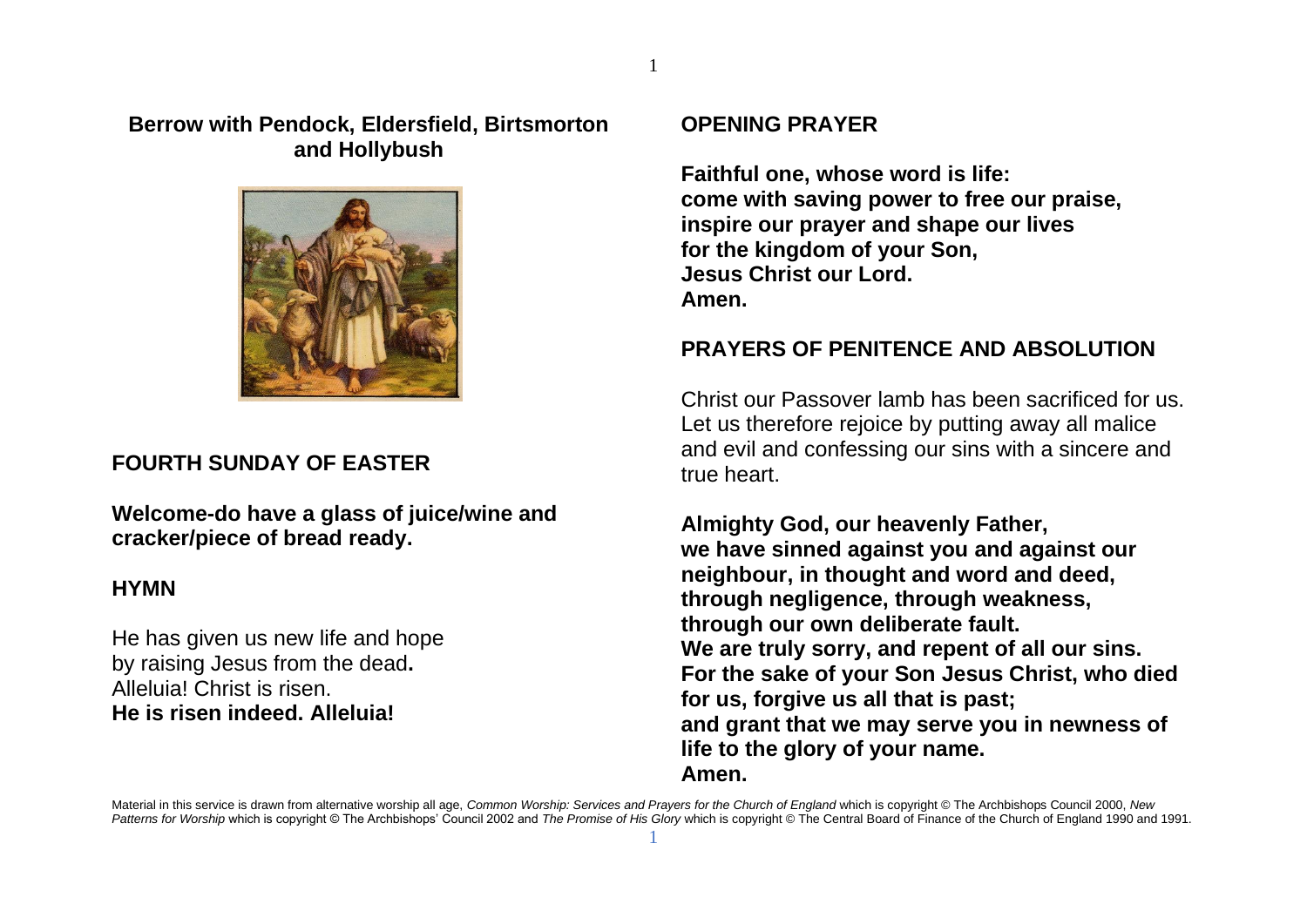### **Berrow with Pendock, Eldersfield, Birtsmorton and Hollybush**



## **FOURTH SUNDAY OF EASTER**

**Welcome-do have a glass of juice/wine and cracker/piece of bread ready.**

### **HYMN**

He has given us new life and hope by raising Jesus from the dead**.** Alleluia! Christ is risen. **He is risen indeed. Alleluia!**

## **OPENING PRAYER**

**Faithful one, whose word is life: come with saving power to free our praise, inspire our prayer and shape our lives for the kingdom of your Son, Jesus Christ our Lord. Amen.**

## **PRAYERS OF PENITENCE AND ABSOLUTION**

Christ our Passover lamb has been sacrificed for us. Let us therefore rejoice by putting away all malice and evil and confessing our sins with a sincere and true heart.

**Almighty God, our heavenly Father, we have sinned against you and against our neighbour, in thought and word and deed, through negligence, through weakness, through our own deliberate fault. We are truly sorry, and repent of all our sins. For the sake of your Son Jesus Christ, who died for us, forgive us all that is past; and grant that we may serve you in newness of life to the glory of your name. Amen.**

Material in this service is drawn from alternative worship all age, *Common Worship: Services and Prayers for the Church of England* which is copyright © The Archbishops Council 2000, *New*  Patterns for Worship which is copyright © The Archbishops' Council 2002 and *The Promise of His Glory* which is copyright © The Central Board of Finance of the Church of England 1990 and 1991. 1

1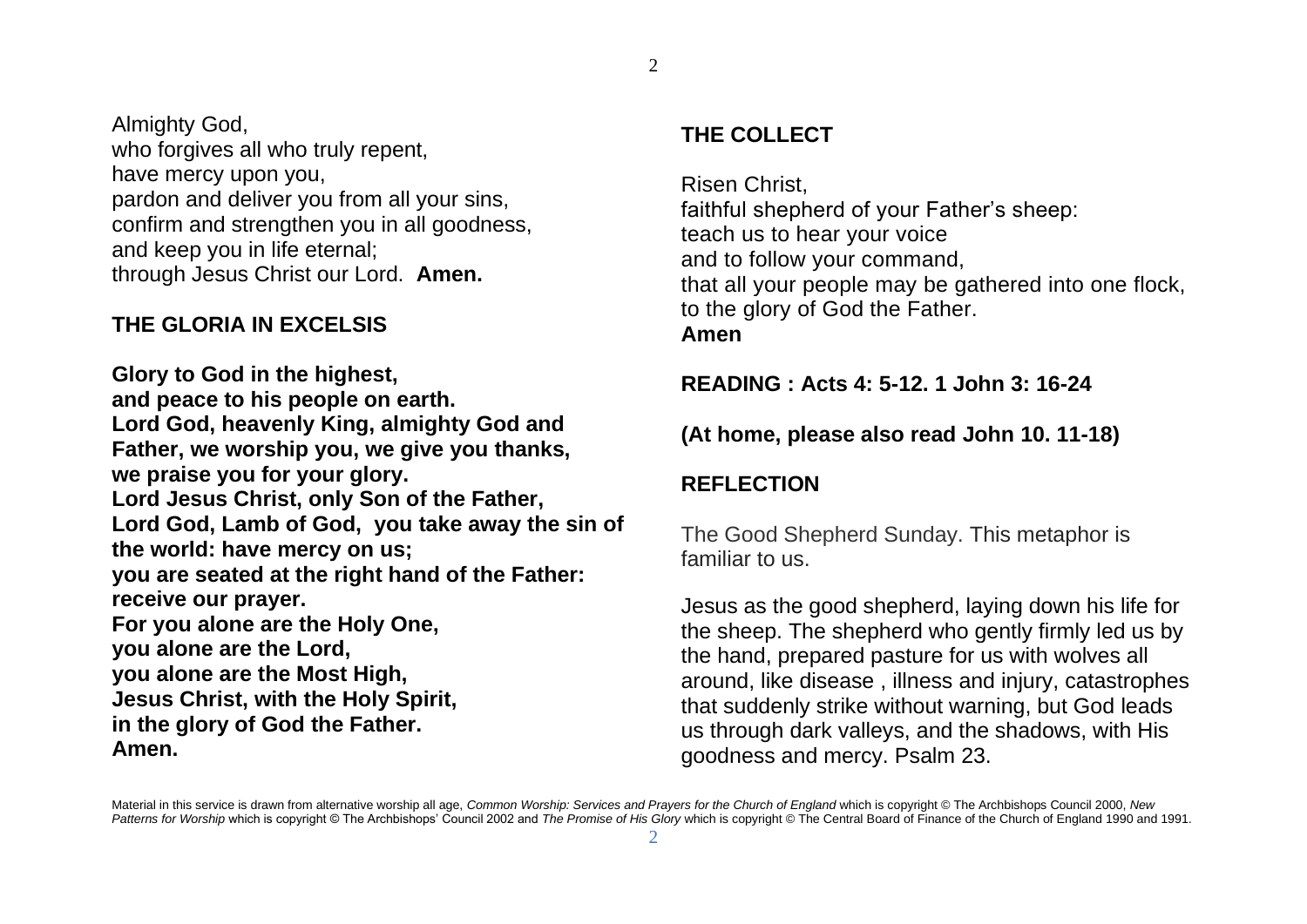Almighty God, who forgives all who truly repent, have mercy upon you, pardon and deliver you from all your sins, confirm and strengthen you in all goodness, and keep you in life eternal; through Jesus Christ our Lord. **Amen.**

## **THE GLORIA IN EXCELSIS**

**Glory to God in the highest, and peace to his people on earth. Lord God, heavenly King, almighty God and Father, we worship you, we give you thanks, we praise you for your glory. Lord Jesus Christ, only Son of the Father, Lord God, Lamb of God, you take away the sin of the world: have mercy on us; you are seated at the right hand of the Father: receive our prayer. For you alone are the Holy One, you alone are the Lord, you alone are the Most High, Jesus Christ, with the Holy Spirit, in the glory of God the Father. Amen.**

# **THE COLLECT**

Risen Christ, faithful shepherd of your Father's sheep: teach us to hear your voice and to follow your command, that all your people may be gathered into one flock, to the glory of God the Father. **Amen**

**READING : Acts 4: 5-12. 1 John 3: 16-24**

## **(At home, please also read John 10. 11-18)**

# **REFLECTION**

The Good Shepherd Sunday. This metaphor is familiar to us.

Jesus as the good shepherd, laying down his life for the sheep. The shepherd who gently firmly led us by the hand, prepared pasture for us with wolves all around, like disease , illness and injury, catastrophes that suddenly strike without warning, but God leads us through dark valleys, and the shadows, with His goodness and mercy. Psalm 23.

Material in this service is drawn from alternative worship all age, *Common Worship: Services and Prayers for the Church of England* which is copyright © The Archbishops Council 2000, *New*  Patterns for Worship which is copyright © The Archbishops' Council 2002 and *The Promise of His Glory* which is copyright © The Central Board of Finance of the Church of England 1990 and 1991. 2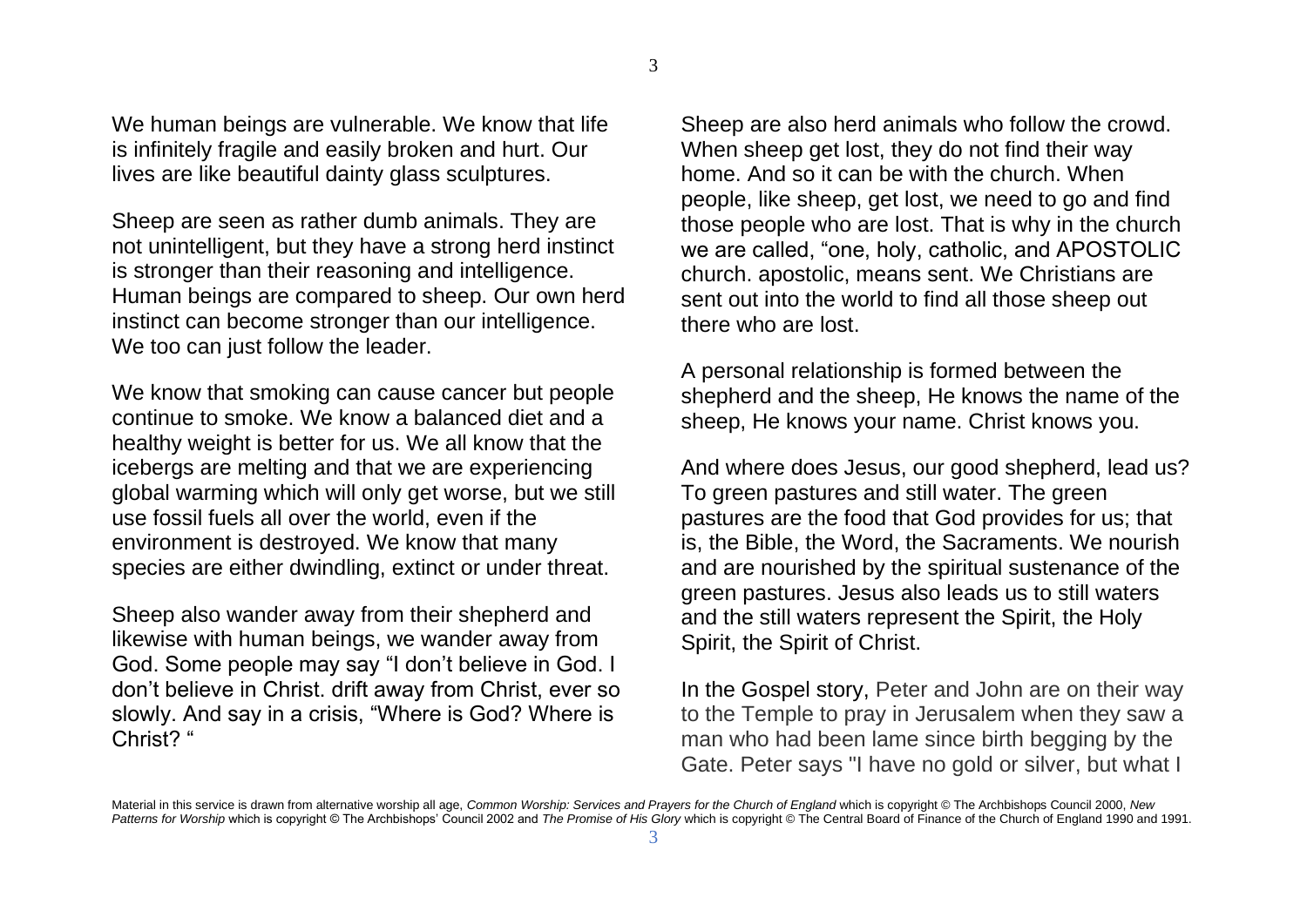We human beings are vulnerable. We know that life is infinitely fragile and easily broken and hurt. Our lives are like beautiful dainty glass sculptures.

Sheep are seen as rather dumb animals. They are not unintelligent, but they have a strong herd instinct is stronger than their reasoning and intelligence. Human beings are compared to sheep. Our own herd instinct can become stronger than our intelligence. We too can just follow the leader.

We know that smoking can cause cancer but people continue to smoke. We know a balanced diet and a healthy weight is better for us. We all know that the icebergs are melting and that we are experiencing global warming which will only get worse, but we still use fossil fuels all over the world, even if the environment is destroyed. We know that many species are either dwindling, extinct or under threat.

Sheep also wander away from their shepherd and likewise with human beings, we wander away from God. Some people may say "I don't believe in God. I don't believe in Christ. drift away from Christ, ever so slowly. And say in a crisis, "Where is God? Where is Christ? "

Sheep are also herd animals who follow the crowd. When sheep get lost, they do not find their way home. And so it can be with the church. When people, like sheep, get lost, we need to go and find those people who are lost. That is why in the church we are called, "one, holy, catholic, and APOSTOLIC church. apostolic, means sent. We Christians are sent out into the world to find all those sheep out there who are lost.

A personal relationship is formed between the shepherd and the sheep, He knows the name of the sheep, He knows your name. Christ knows you.

And where does Jesus, our good shepherd, lead us? To green pastures and still water. The green pastures are the food that God provides for us; that is, the Bible, the Word, the Sacraments. We nourish and are nourished by the spiritual sustenance of the green pastures. Jesus also leads us to still waters and the still waters represent the Spirit, the Holy Spirit, the Spirit of Christ.

In the Gospel story, Peter and John are on their way to the Temple to pray in Jerusalem when they saw a man who had been lame since birth begging by the Gate. Peter says "I have no gold or silver, but what I

Material in this service is drawn from alternative worship all age, *Common Worship: Services and Prayers for the Church of England* which is copyright © The Archbishops Council 2000, *New*  Patterns for Worship which is copyright © The Archbishops' Council 2002 and *The Promise of His Glory* which is copyright © The Central Board of Finance of the Church of England 1990 and 1991.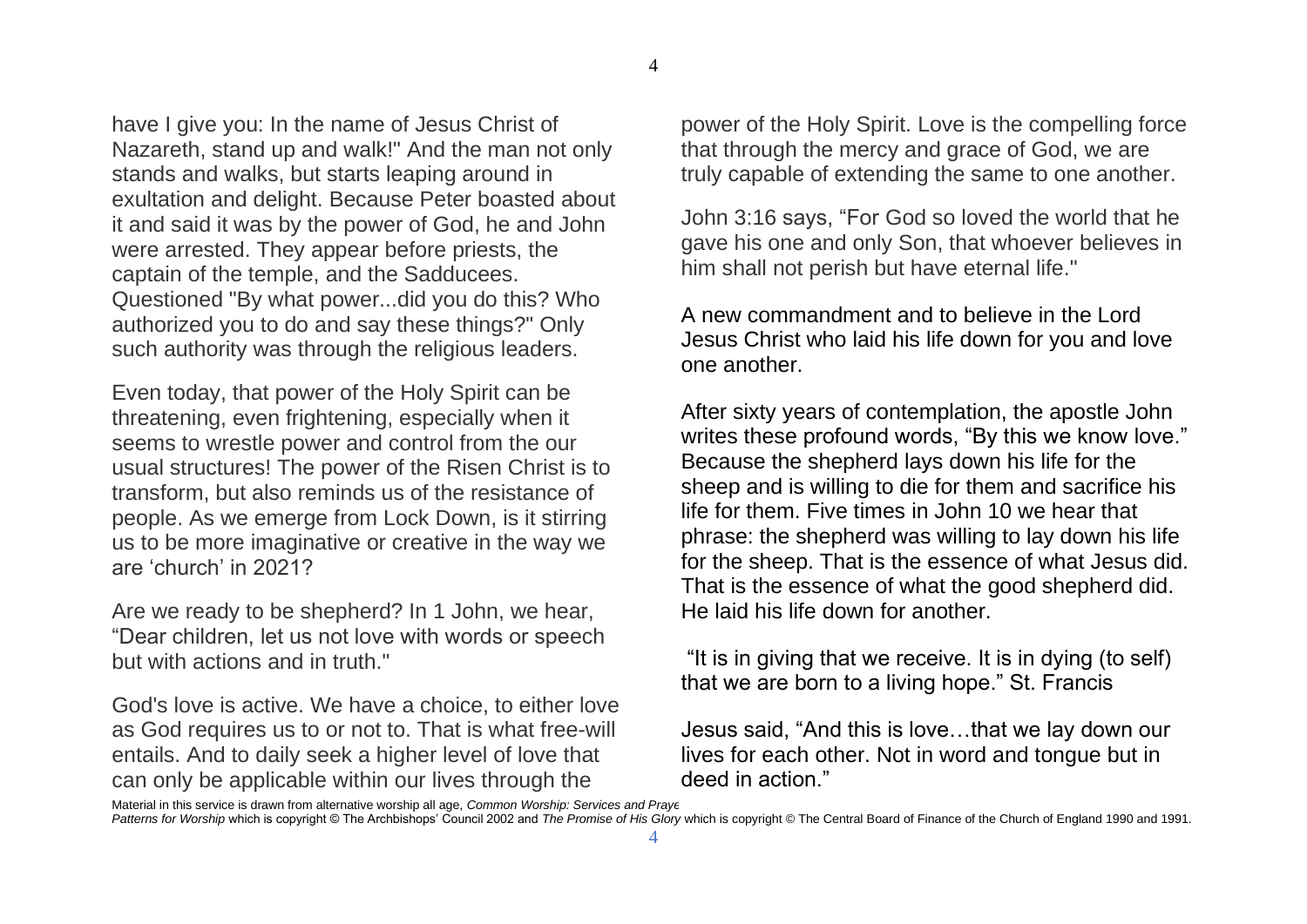have I give you: In the name of Jesus Christ of Nazareth, stand up and walk!" And the man not only stands and walks, but starts leaping around in exultation and delight. Because Peter boasted about it and said it was by the power of God, he and John were arrested. They appear before priests, the captain of the temple, and the Sadducees. Questioned "By what power...did you do this? Who authorized you to do and say these things?" Only such authority was through the religious leaders.

Even today, that power of the Holy Spirit can be threatening, even frightening, especially when it seems to wrestle power and control from the our usual structures! The power of the Risen Christ is to transform, but also reminds us of the resistance of people. As we emerge from Lock Down, is it stirring us to be more imaginative or creative in the way we are 'church' in 2021?

Are we ready to be shepherd? In 1 John, we hear, "Dear children, let us not love with words or speech but with actions and in truth."

God's love is active. We have a choice, to either love as God requires us to or not to. That is what free-will entails. And to daily seek a higher level of love that can only be applicable within our lives through the

power of the Holy Spirit. Love is the compelling force that through the mercy and grace of God, we are truly capable of extending the same to one another.

John 3:16 says, "For God so loved the world that he gave his one and only Son, that whoever believes in him shall not perish but have eternal life."

A new commandment and to believe in the Lord Jesus Christ who laid his life down for you and love one another.

After sixty years of contemplation, the apostle John writes these profound words, "By this we know love." Because the shepherd lays down his life for the sheep and is willing to die for them and sacrifice his life for them. Five times in John 10 we hear that phrase: the shepherd was willing to lay down his life for the sheep. That is the essence of what Jesus did. That is the essence of what the good shepherd did. He laid his life down for another.

"It is in giving that we receive. It is in dying (to self) that we are born to a living hope." St. Francis

Jesus said, "And this is love…that we lay down our lives for each other. Not in word and tongue but in deed in action."

Material in this service is drawn from alternative worship all age, *Common Worship: Services and Prayers for the Church of England* which is copyright © The Archbishops Council 2000, *New* 

*Patterns for Worship* which is copyright © The Archbishops' Council 2002 and *The Promise of His Glory* which is copyright © The Central Board of Finance of the Church of England 1990 and 1991.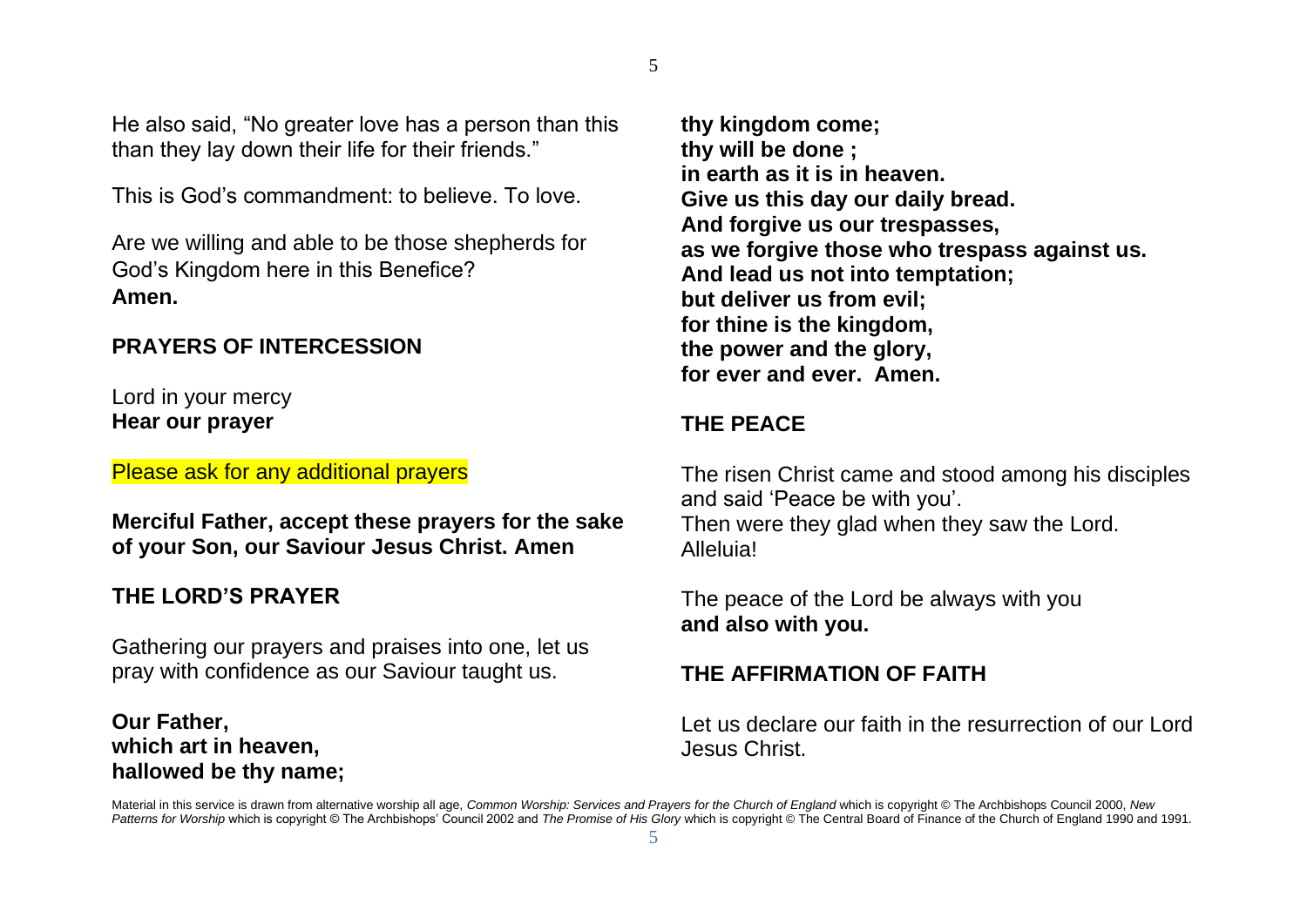He also said, "No greater love has a person than this than they lay down their life for their friends."

This is God's commandment: to believe. To love.

Are we willing and able to be those shepherds for God's Kingdom here in this Benefice? **Amen.**

#### **PRAYERS OF INTERCESSION**

Lord in your mercy **Hear our prayer**

Please ask for any additional prayers

**Merciful Father, accept these prayers for the sake of your Son, our Saviour Jesus Christ. Amen**

## **THE LORD'S PRAYER**

Gathering our prayers and praises into one, let us pray with confidence as our Saviour taught us.

## **Our Father, which art in heaven, hallowed be thy name;**

**thy kingdom come; thy will be done ; in earth as it is in heaven. Give us this day our daily bread. And forgive us our trespasses, as we forgive those who trespass against us. And lead us not into temptation; but deliver us from evil; for thine is the kingdom, the power and the glory, for ever and ever. Amen.**

## **THE PEACE**

The risen Christ came and stood among his disciples and said 'Peace be with you'. Then were they glad when they saw the Lord. Alleluia!

The peace of the Lord be always with you **and also with you.**

## **THE AFFIRMATION OF FAITH**

Let us declare our faith in the resurrection of our Lord Jesus Christ.

Material in this service is drawn from alternative worship all age, *Common Worship: Services and Prayers for the Church of England* which is copyright © The Archbishops Council 2000, *New*  Patterns for Worship which is copyright © The Archbishops' Council 2002 and *The Promise of His Glory* which is copyright © The Central Board of Finance of the Church of England 1990 and 1991. 5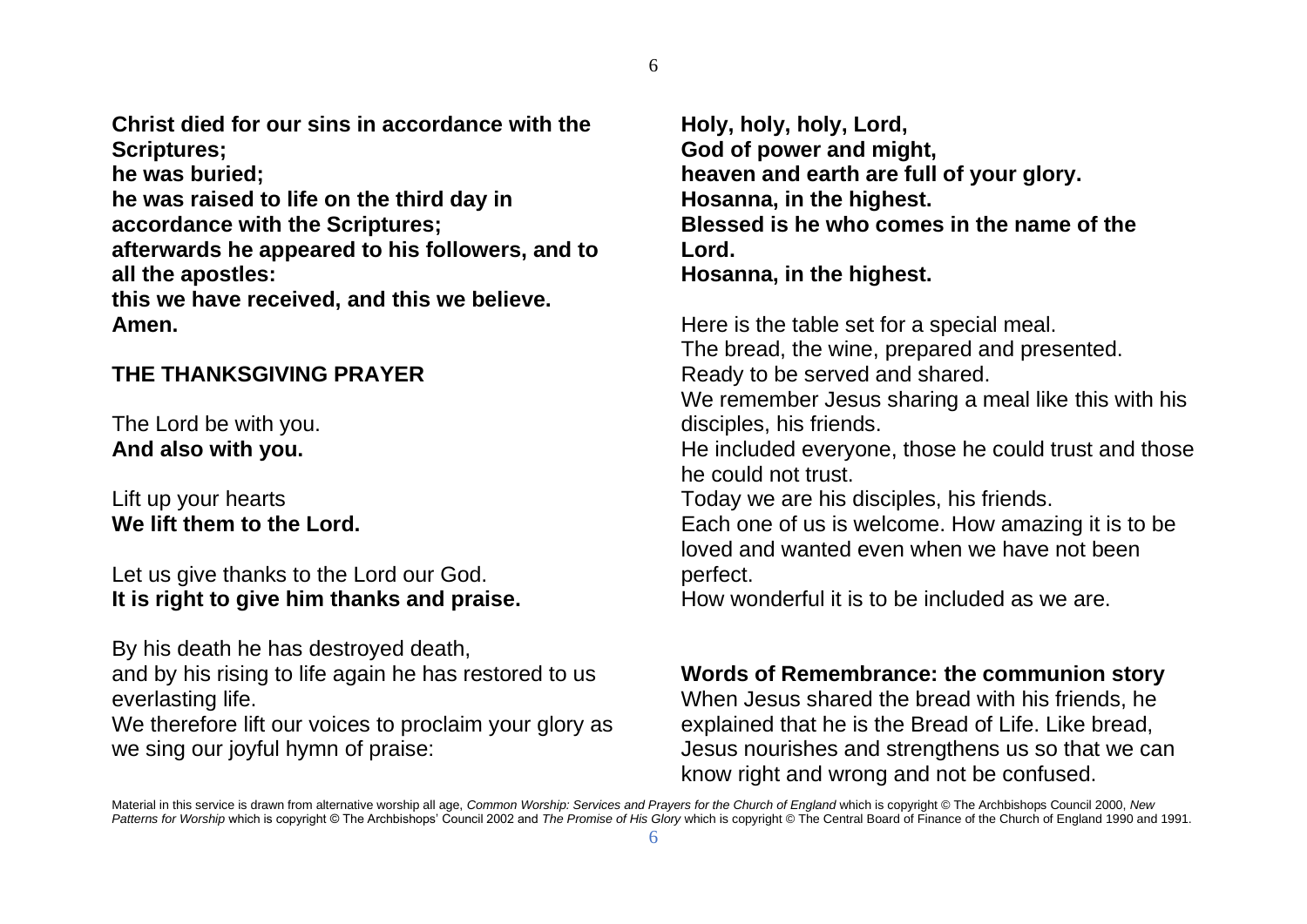6

**Christ died for our sins in accordance with the Scriptures; he was buried;**

**he was raised to life on the third day in accordance with the Scriptures; afterwards he appeared to his followers, and to all the apostles:**

**this we have received, and this we believe. Amen.**

## **THE THANKSGIVING PRAYER**

The Lord be with you. **And also with you.**

Lift up your hearts **We lift them to the Lord.**

Let us give thanks to the Lord our God. **It is right to give him thanks and praise.**

By his death he has destroyed death,

and by his rising to life again he has restored to us everlasting life.

We therefore lift our voices to proclaim your glory as we sing our joyful hymn of praise:

**Holy, holy, holy, Lord, God of power and might, heaven and earth are full of your glory. Hosanna, in the highest. Blessed is he who comes in the name of the Lord. Hosanna, in the highest.** 

Here is the table set for a special meal. The bread, the wine, prepared and presented. Ready to be served and shared. We remember Jesus sharing a meal like this with his disciples, his friends. He included everyone, those he could trust and those he could not trust. Today we are his disciples, his friends. Each one of us is welcome. How amazing it is to be loved and wanted even when we have not been

How wonderful it is to be included as we are.

## **Words of Remembrance: the communion story**

When Jesus shared the bread with his friends, he explained that he is the Bread of Life. Like bread, Jesus nourishes and strengthens us so that we can know right and wrong and not be confused.

perfect.

Material in this service is drawn from alternative worship all age, *Common Worship: Services and Prayers for the Church of England* which is copyright © The Archbishops Council 2000, *New*  Patterns for Worship which is copyright © The Archbishops' Council 2002 and *The Promise of His Glory* which is copyright © The Central Board of Finance of the Church of England 1990 and 1991.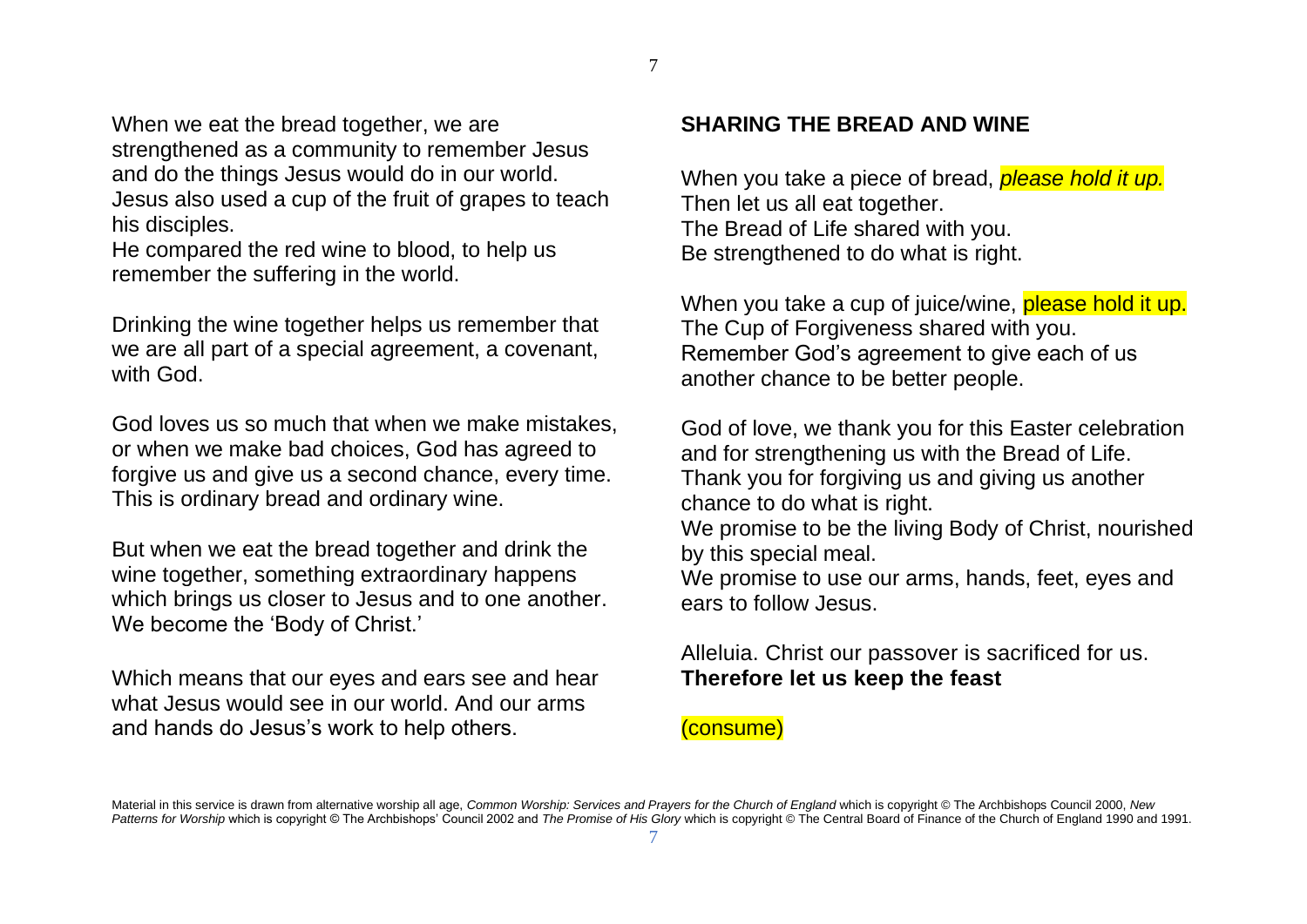When we eat the bread together, we are strengthened as a community to remember Jesus and do the things Jesus would do in our world. Jesus also used a cup of the fruit of grapes to teach his disciples.

He compared the red wine to blood, to help us remember the suffering in the world.

Drinking the wine together helps us remember that we are all part of a special agreement, a covenant, with God.

God loves us so much that when we make mistakes, or when we make bad choices, God has agreed to forgive us and give us a second chance, every time. This is ordinary bread and ordinary wine.

But when we eat the bread together and drink the wine together, something extraordinary happens which brings us closer to Jesus and to one another. We become the 'Body of Christ.'

Which means that our eyes and ears see and hear what Jesus would see in our world. And our arms and hands do Jesus's work to help others.

## **SHARING THE BREAD AND WINE**

When you take a piece of bread, *please hold it up.* Then let us all eat together. The Bread of Life shared with you. Be strengthened to do what is right.

When you take a cup of juice/wine, please hold it up. The Cup of Forgiveness shared with you. Remember God's agreement to give each of us another chance to be better people.

God of love, we thank you for this Easter celebration and for strengthening us with the Bread of Life. Thank you for forgiving us and giving us another chance to do what is right. We promise to be the living Body of Christ, nourished

by this special meal.

We promise to use our arms, hands, feet, eyes and ears to follow Jesus.

## Alleluia. Christ our passover is sacrificed for us. **Therefore let us keep the feast**

#### (consume)

Material in this service is drawn from alternative worship all age, *Common Worship: Services and Prayers for the Church of England* which is copyright © The Archbishops Council 2000, *New*  Patterns for Worship which is copyright © The Archbishops' Council 2002 and *The Promise of His Glory* which is copyright © The Central Board of Finance of the Church of England 1990 and 1991. 7